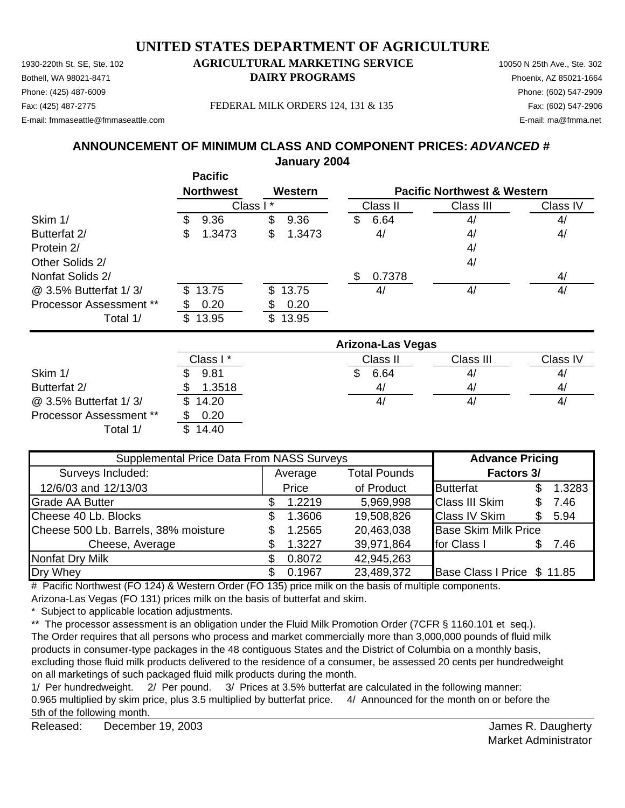1930-220th St. SE, Ste. 102 **AGRICULTURAL MARKETING SERVICE** 10050 N 25th Ave., Ste. 302 Bothell, WA 98021-8471 **DAIRY PROGRAMS** Phoenix, AZ 85021-1664 Fax: (425) 487-2775 Fax: (602) 547-2906 FEDERAL MILK ORDERS 124, 131 & 135

## Phone: (425) 487-6009 Phone: (602) 547-2909

E-mail: fmmaseattle@fmmaseattle.com E-mail: ma@fmma.net

### **ANNOUNCEMENT OF MINIMUM CLASS AND COMPONENT PRICES:** *ADVANCED #* **January 2004**

|                                | <b>Pacific</b>   |              |                |                                        |          |
|--------------------------------|------------------|--------------|----------------|----------------------------------------|----------|
|                                | <b>Northwest</b> | Western      |                | <b>Pacific Northwest &amp; Western</b> |          |
|                                |                  | Class I*     | Class II       | Class III                              | Class IV |
| Skim 1/                        | 9.36<br>S        | \$<br>9.36   | 6.64<br>\$     | 4/                                     | 4/       |
| Butterfat 2/                   | 1.3473<br>\$     | \$<br>1.3473 | 4/             | 4/                                     | 4/       |
| Protein 2/                     |                  |              |                | 4/                                     |          |
| Other Solids 2/                |                  |              |                | 4/                                     |          |
| Nonfat Solids 2/               |                  |              | 0.7378<br>S    |                                        | 4/       |
| @ 3.5% Butterfat 1/3/          | 13.75<br>\$.     | \$13.75      | 4/             | 4/                                     | 4/       |
| <b>Processor Assessment **</b> | 0.20             | 0.20         |                |                                        |          |
| Total 1/                       | 13.95<br>S.      | \$13.95      |                |                                        |          |
|                                |                  |              | $\blacksquare$ |                                        |          |

|                                |          | <b>Arizona-Las Vegas</b> |           |                |
|--------------------------------|----------|--------------------------|-----------|----------------|
|                                | Class I* | Class II                 | Class III | Class IV       |
| Skim 1/                        | 9.81     | 6.64                     | 4,        | 4,             |
| Butterfat 2/                   | 1.3518   | 4/                       | 4,        | 4,             |
| @ 3.5% Butterfat 1/3/          | \$14.20  | 41                       | 4,        | 4 <sub>l</sub> |
| <b>Processor Assessment **</b> | 0.20     |                          |           |                |
| Total 1/                       | 14.40    |                          |           |                |

| Supplemental Price Data From NASS Surveys |         |        |                     | <b>Advance Pricing</b>      |     |        |
|-------------------------------------------|---------|--------|---------------------|-----------------------------|-----|--------|
| Surveys Included:                         | Average |        | <b>Total Pounds</b> | Factors 3/                  |     |        |
| 12/6/03 and 12/13/03                      |         | Price  | of Product          | <b>Butterfat</b>            |     | 1.3283 |
| <b>Grade AA Butter</b>                    |         | 1.2219 | 5,969,998           | <b>Class III Skim</b>       | S   | 7.46   |
| Cheese 40 Lb. Blocks                      | S.      | 1.3606 | 19,508,826          | <b>Class IV Skim</b>        | \$. | 5.94   |
| Cheese 500 Lb. Barrels, 38% moisture      |         | 1.2565 | 20,463,038          | <b>Base Skim Milk Price</b> |     |        |
| Cheese, Average                           |         | 1.3227 | 39,971,864          | for Class I                 | S   | 7.46   |
| Nonfat Dry Milk                           |         | 0.8072 | 42,945,263          |                             |     |        |
| Dry Whey                                  |         | 0.1967 | 23,489,372          | Base Class I Price \$11.85  |     |        |

# Pacific Northwest (FO 124) & Western Order (FO 135) price milk on the basis of multiple components.

Arizona-Las Vegas (FO 131) prices milk on the basis of butterfat and skim.

\* Subject to applicable location adjustments.

\*\* The processor assessment is an obligation under the Fluid Milk Promotion Order (7CFR § 1160.101 et seq.). The Order requires that all persons who process and market commercially more than 3,000,000 pounds of fluid milk products in consumer-type packages in the 48 contiguous States and the District of Columbia on a monthly basis, excluding those fluid milk products delivered to the residence of a consumer, be assessed 20 cents per hundredweight on all marketings of such packaged fluid milk products during the month.

1/ Per hundredweight. 2/ Per pound. 3/ Prices at 3.5% butterfat are calculated in the following manner: 0.965 multiplied by skim price, plus 3.5 multiplied by butterfat price. 4/ Announced for the month on or before the 5th of the following month.

Released: December 19, 2003 **State and State Automobile State Automobile State Automobile State Automobile State Automobile State Automobile State Automobile State Automobile State Automobile State Automobile State Automob** December 19, 2003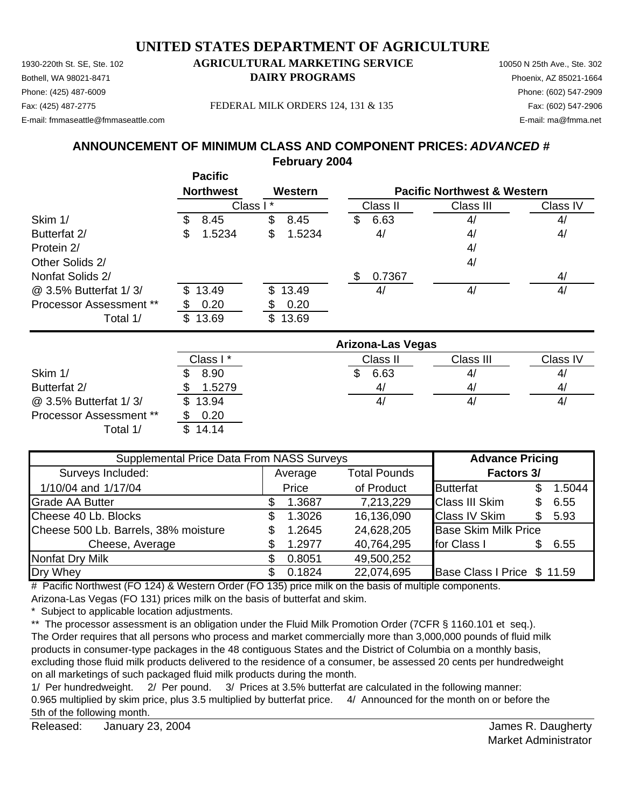1930-220th St. SE, Ste. 102 **AGRICULTURAL MARKETING SERVICE** 10050 N 25th Ave., Ste. 302 Bothell, WA 98021-8471 **DAIRY PROGRAMS** Phoenix, AZ 85021-1664 Phone: (425) 487-6009 Phone: (602) 547-2909

### Fax: (425) 487-2775 Fax: (602) 547-2906 FEDERAL MILK ORDERS 124, 131 & 135

E-mail: fmmaseattle@fmmaseattle.com E-mail: ma@fmma.net

#### **ANNOUNCEMENT OF MINIMUM CLASS AND COMPONENT PRICES:** *ADVANCED #* **February 2004**

|                                | <b>Pacific</b>   |              |             |                                        |          |
|--------------------------------|------------------|--------------|-------------|----------------------------------------|----------|
|                                | <b>Northwest</b> | Western      |             | <b>Pacific Northwest &amp; Western</b> |          |
|                                |                  | Class I*     | Class II    | Class III                              | Class IV |
| Skim 1/                        | 8.45<br>S        | \$<br>8.45   | 6.63<br>\$  | 4/                                     | 4/       |
| Butterfat 2/                   | 1.5234<br>\$     | \$<br>1.5234 | 4/          | 4/                                     | 4/       |
| Protein 2/                     |                  |              |             | 4/                                     |          |
| Other Solids 2/                |                  |              |             | 4/                                     |          |
| Nonfat Solids 2/               |                  |              | 0.7367<br>S |                                        | 4/       |
| @ 3.5% Butterfat 1/3/          | \$13.49          | \$13.49      | 4/          | 4/                                     | 4/       |
| <b>Processor Assessment **</b> | 0.20             | 0.20         |             |                                        |          |
| Total 1/                       | 13.69<br>\$.     | \$13.69      |             |                                        |          |

|                                |          | <b>Arizona-Las Vegas</b> |                   |          |
|--------------------------------|----------|--------------------------|-------------------|----------|
|                                | Class I* | Class II                 | Class III         | Class IV |
| Skim 1/                        | 8.90     | 6.63                     | 4,                | 4,       |
| Butterfat 2/                   | 1.5279   | 41                       | $\mathcal{A}_{l}$ | 4,       |
| @ 3.5% Butterfat 1/3/          | \$13.94  | 4/                       | 4,                | 4,       |
| <b>Processor Assessment **</b> | 0.20     |                          |                   |          |
| Total 1/                       | 14.14    |                          |                   |          |

| Supplemental Price Data From NASS Surveys |         |        |                     | <b>Advance Pricing</b>      |            |        |
|-------------------------------------------|---------|--------|---------------------|-----------------------------|------------|--------|
| Surveys Included:                         | Average |        | <b>Total Pounds</b> |                             | Factors 3/ |        |
| 1/10/04 and 1/17/04                       |         | Price  | of Product          | <b>Butterfat</b>            |            | 1.5044 |
| <b>Grade AA Butter</b>                    |         | 1.3687 | 7,213,229           | <b>Class III Skim</b>       | S          | 6.55   |
| Cheese 40 Lb. Blocks                      | S.      | 1.3026 | 16,136,090          | <b>Class IV Skim</b>        | \$.        | 5.93   |
| Cheese 500 Lb. Barrels, 38% moisture      |         | 1.2645 | 24,628,205          | <b>Base Skim Milk Price</b> |            |        |
| Cheese, Average                           |         | 1.2977 | 40,764,295          | for Class I                 | S          | 6.55   |
| <b>Nonfat Dry Milk</b>                    |         | 0.8051 | 49,500,252          |                             |            |        |
| Dry Whey                                  |         | 0.1824 | 22,074,695          | Base Class I Price \$ 11.59 |            |        |

# Pacific Northwest (FO 124) & Western Order (FO 135) price milk on the basis of multiple components.

Arizona-Las Vegas (FO 131) prices milk on the basis of butterfat and skim.

\* Subject to applicable location adjustments.

\*\* The processor assessment is an obligation under the Fluid Milk Promotion Order (7CFR § 1160.101 et seq.). The Order requires that all persons who process and market commercially more than 3,000,000 pounds of fluid milk products in consumer-type packages in the 48 contiguous States and the District of Columbia on a monthly basis, excluding those fluid milk products delivered to the residence of a consumer, be assessed 20 cents per hundredweight on all marketings of such packaged fluid milk products during the month.

1/ Per hundredweight. 2/ Per pound. 3/ Prices at 3.5% butterfat are calculated in the following manner: 0.965 multiplied by skim price, plus 3.5 multiplied by butterfat price. 4/ Announced for the month on or before the 5th of the following month.

Released: James R. Daugherty January 23, 2004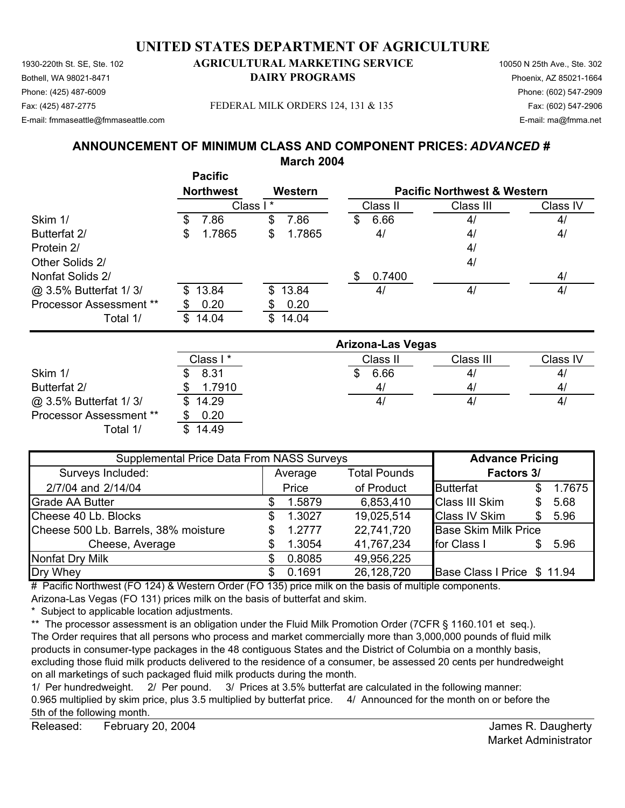Bothell, WA 98021-8471 **DAIRY PROGRAMS** Phoenix, AZ 85021-1664 Phone: (425) 487-6009 Phone: (602) 547-2909

#### Fax: (425) 487-2775 Fax: (602) 547-2906 FEDERAL MILK ORDERS 124, 131 & 135

E-mail: fmmaseattle@fmmaseattle.com E-mail: ma@fmma.net

# **ANNOUNCEMENT OF MINIMUM CLASS AND COMPONENT PRICES:** *ADVANCED #* **March 2004**

|                                | <b>Pacific</b><br><b>Northwest</b> | Western      |                          | <b>Pacific Northwest &amp; Western</b> |          |
|--------------------------------|------------------------------------|--------------|--------------------------|----------------------------------------|----------|
|                                |                                    | Class I*     | Class II                 | Class III                              | Class IV |
| Skim 1/                        | 7.86<br>\$                         | \$<br>7.86   | 6.66<br>\$               | 4/                                     | 4/       |
| Butterfat 2/                   | 1.7865<br>\$                       | \$<br>1.7865 | 4/                       | 4/                                     | 4/       |
| Protein 2/                     |                                    |              |                          | 4/                                     |          |
| Other Solids 2/                |                                    |              |                          | 4/                                     |          |
| Nonfat Solids 2/               |                                    |              | 0.7400<br>S              |                                        | 4/       |
| @ 3.5% Butterfat 1/3/          | 13.84<br>S.                        | \$13.84      | 4/                       | 4/                                     | 4/       |
| <b>Processor Assessment **</b> | 0.20                               | 0.20<br>S    |                          |                                        |          |
| Total 1/                       | 14.04<br>\$.                       | \$<br>14.04  |                          |                                        |          |
|                                |                                    |              | <b>Arizona-Las Vegas</b> |                                        |          |
|                                | $C \cdot$                          |              | Class II                 | Class III                              | Class IV |

|                         |           | ANZONA-LAS VEGAS |                |          |
|-------------------------|-----------|------------------|----------------|----------|
|                         | Class I * | Class II         | Class III      | Class IV |
| Skim 1/                 | 8.31      | 6.66             | 4 <sub>l</sub> | 4        |
| Butterfat 2/            | 1.7910    | 4/               | 4/             | 4        |
| @ 3.5% Butterfat 1/3/   | \$14.29   | 4 <sub>l</sub>   | 4 <sub>l</sub> | 4        |
| Processor Assessment ** | 0.20      |                  |                |          |
| Total 1/                | 14.49     |                  |                |          |

| Supplemental Price Data From NASS Surveys |                                |        |            | <b>Advance Pricing</b>      |     |        |
|-------------------------------------------|--------------------------------|--------|------------|-----------------------------|-----|--------|
| Surveys Included:                         | <b>Total Pounds</b><br>Average |        | Factors 3/ |                             |     |        |
| 2/7/04 and 2/14/04                        |                                | Price  | of Product | Butterfat                   | S   | 1.7675 |
| <b>Grade AA Butter</b>                    |                                | 1.5879 | 6,853,410  | <b>Class III Skim</b>       | S   | 5.68   |
| Cheese 40 Lb. Blocks                      | \$.                            | 1.3027 | 19,025,514 | <b>Class IV Skim</b>        | \$. | 5.96   |
| Cheese 500 Lb. Barrels, 38% moisture      |                                | 1.2777 | 22,741,720 | <b>Base Skim Milk Price</b> |     |        |
| Cheese, Average                           |                                | 1.3054 | 41,767,234 | for Class I                 | \$. | 5.96   |
| Nonfat Dry Milk                           |                                | 0.8085 | 49,956,225 |                             |     |        |
| Dry Whey                                  |                                | 0.1691 | 26,128,720 | Base Class I Price \$ 11.94 |     |        |

# Pacific Northwest (FO 124) & Western Order (FO 135) price milk on the basis of multiple components.

Arizona-Las Vegas (FO 131) prices milk on the basis of butterfat and skim.

\* Subject to applicable location adjustments.

\*\* The processor assessment is an obligation under the Fluid Milk Promotion Order (7CFR § 1160.101 et seq.). The Order requires that all persons who process and market commercially more than 3,000,000 pounds of fluid milk products in consumer-type packages in the 48 contiguous States and the District of Columbia on a monthly basis, excluding those fluid milk products delivered to the residence of a consumer, be assessed 20 cents per hundredweight on all marketings of such packaged fluid milk products during the month.

1/ Per hundredweight. 2/ Per pound. 3/ Prices at 3.5% butterfat are calculated in the following manner: 0.965 multiplied by skim price, plus 3.5 multiplied by butterfat price. 4/ Announced for the month on or before the 5th of the following month.

Released: February 20, 2004 **Figure 20.** 2004 **Figure 20. 2004 James R. Daugherty** February 20, 2004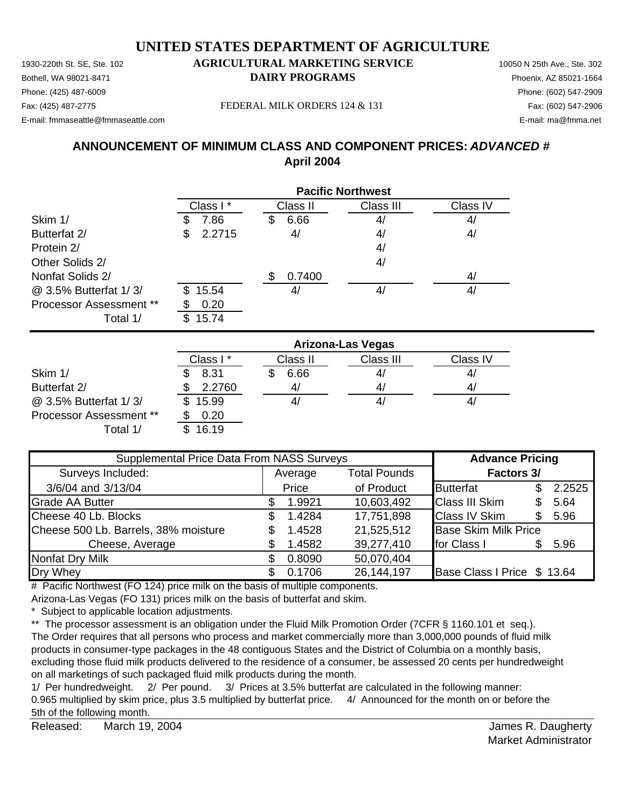Bothell, WA 98021-8471 **DAIRY PROGRAMS** Phoenix, AZ 85021-1664

# Phone: (425) 487-6009 Phone: (602) 547-2909

E-mail: fmmaseattle@fmmaseattle.com E-mail: ma@fmma.net

Fax: (425) 487-2775 Fax: (602) 547-2906 FEDERAL MILK ORDERS 124 & 131

# **ANNOUNCEMENT OF MINIMUM CLASS AND COMPONENT PRICES:** *ADVANCED #* **April 2004**

|                                |              | <b>Pacific Northwest</b> |           |          |  |  |  |
|--------------------------------|--------------|--------------------------|-----------|----------|--|--|--|
|                                | Class I*     | Class II                 | Class III | Class IV |  |  |  |
| Skim 1/                        | 7.86         | 6.66<br>S                | 4/        | 4/       |  |  |  |
| Butterfat 2/                   | 2.2715<br>S  | 4/                       | 4/        | 4/       |  |  |  |
| Protein 2/                     |              |                          | 4/        |          |  |  |  |
| Other Solids 2/                |              |                          | 4/        |          |  |  |  |
| Nonfat Solids 2/               |              | 0.7400<br>\$             |           | 4/       |  |  |  |
| @ 3.5% Butterfat 1/3/          | 15.54<br>\$. | 4,                       | 4/        | 4/       |  |  |  |
| <b>Processor Assessment **</b> | 0.20         |                          |           |          |  |  |  |
| Total 1/                       | \$.<br>15.74 |                          |           |          |  |  |  |

|                                | <b>Arizona-Las Vegas</b> |          |           |          |  |  |
|--------------------------------|--------------------------|----------|-----------|----------|--|--|
|                                | Class I*                 | Class II | Class III | Class IV |  |  |
| Skim 1/                        | 8.31                     | 6.66     | 41        | 4/       |  |  |
| Butterfat 2/                   | 2.2760                   | 4,       | 4/        | 41       |  |  |
| @ 3.5% Butterfat 1/3/          | 15.99                    |          | 4,        | 41       |  |  |
| <b>Processor Assessment **</b> | 0.20                     |          |           |          |  |  |
| Total 1/                       | 16.19                    |          |           |          |  |  |

| Supplemental Price Data From NASS Surveys |                                |        |            | <b>Advance Pricing</b>      |   |        |  |
|-------------------------------------------|--------------------------------|--------|------------|-----------------------------|---|--------|--|
| Surveys Included:                         | <b>Total Pounds</b><br>Average |        |            | Factors 3/                  |   |        |  |
| 3/6/04 and 3/13/04                        |                                | Price  | of Product | <b>Butterfat</b>            |   | 2.2525 |  |
| <b>Grade AA Butter</b>                    |                                | 1.9921 | 10,603,492 | <b>Class III Skim</b>       | S | 5.64   |  |
| Cheese 40 Lb. Blocks                      | S                              | 1.4284 | 17,751,898 | <b>Class IV Skim</b>        |   | 5.96   |  |
| Cheese 500 Lb. Barrels, 38% moisture      | \$                             | 1.4528 | 21,525,512 | <b>Base Skim Milk Price</b> |   |        |  |
| Cheese, Average                           |                                | 1.4582 | 39,277,410 | for Class I                 |   | 5.96   |  |
| Nonfat Dry Milk                           |                                | 0.8090 | 50,070,404 |                             |   |        |  |
| Dry Whey                                  |                                | 0.1706 | 26,144,197 | Base Class I Price \$ 13.64 |   |        |  |

# Pacific Northwest (FO 124) price milk on the basis of multiple components.

Arizona-Las Vegas (FO 131) prices milk on the basis of butterfat and skim.

\* Subject to applicable location adjustments.

\*\* The processor assessment is an obligation under the Fluid Milk Promotion Order (7CFR § 1160.101 et seq.). The Order requires that all persons who process and market commercially more than 3,000,000 pounds of fluid milk products in consumer-type packages in the 48 contiguous States and the District of Columbia on a monthly basis, excluding those fluid milk products delivered to the residence of a consumer, be assessed 20 cents per hundredweight on all marketings of such packaged fluid milk products during the month.

1/ Per hundredweight. 2/ Per pound. 3/ Prices at 3.5% butterfat are calculated in the following manner: 0.965 multiplied by skim price, plus 3.5 multiplied by butterfat price. 4/ Announced for the month on or before the 5th of the following month.

Released: March 19, 2004 **Contract Contract Contract Contract Contract Contract Contract Contract Contract Contract Contract Contract Contract Contract Contract Contract Contract Contract Contract Contract Contract Contrac** March 19, 2004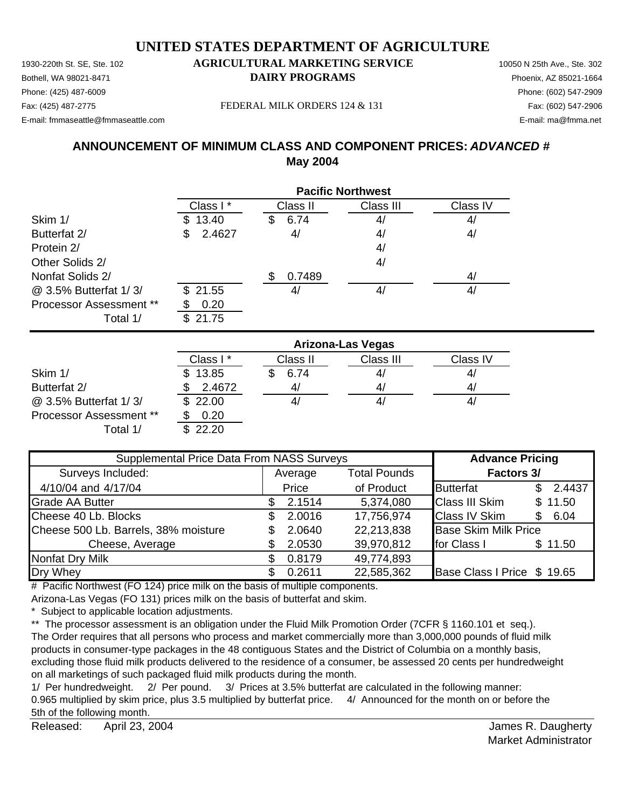1930-220th St. SE, Ste. 102 **AGRICULTURAL MARKETING SERVICE** 10050 N 25th Ave., Ste. 302 Bothell, WA 98021-8471 **DAIRY PROGRAMS** Phoenix, AZ 85021-1664

# Phone: (425) 487-6009 Phone: (602) 547-2909

E-mail: fmmaseattle@fmmaseattle.com E-mail: ma@fmma.net

Fax: (425) 487-2775 Fax: (602) 547-2906 FEDERAL MILK ORDERS 124 & 131

# **ANNOUNCEMENT OF MINIMUM CLASS AND COMPONENT PRICES:** *ADVANCED #* **May 2004**

|                                | <b>Pacific Northwest</b> |            |           |          |  |  |  |
|--------------------------------|--------------------------|------------|-----------|----------|--|--|--|
|                                | Class I*                 | Class II   | Class III | Class IV |  |  |  |
| Skim 1/                        | 13.40                    | 6.74<br>SS | 4/        | 4/       |  |  |  |
| Butterfat 2/                   | 2.4627<br>S              | 4/         | 4/        | 4/       |  |  |  |
| Protein 2/                     |                          |            | 4/        |          |  |  |  |
| Other Solids 2/                |                          |            | 4/        |          |  |  |  |
| Nonfat Solids 2/               |                          | 0.7489     |           | 4/       |  |  |  |
| @ 3.5% Butterfat 1/3/          | \$21.55                  | 41         | 4/        | 4/       |  |  |  |
| <b>Processor Assessment **</b> | 0.20                     |            |           |          |  |  |  |
| Total 1/                       | 21.75<br>\$.             |            |           |          |  |  |  |

|                                | <b>Arizona-Las Vegas</b> |          |           |          |  |
|--------------------------------|--------------------------|----------|-----------|----------|--|
|                                | Class I*                 | Class II | Class III | Class IV |  |
| Skim 1/                        | \$13.85                  | 6.74     | 41        | 4/       |  |
| Butterfat 2/                   | 2.4672                   | 4,       | 4/        | 4/       |  |
| @ 3.5% Butterfat 1/3/          | \$22.00                  | 41       | 4,        | 41       |  |
| <b>Processor Assessment **</b> | 0.20                     |          |           |          |  |
| Total 1/                       | \$22.20                  |          |           |          |  |

| Supplemental Price Data From NASS Surveys |                                |        |            | <b>Advance Pricing</b>      |               |  |            |
|-------------------------------------------|--------------------------------|--------|------------|-----------------------------|---------------|--|------------|
| Surveys Included:                         | <b>Total Pounds</b><br>Average |        |            |                             |               |  | Factors 3/ |
| 4/10/04 and 4/17/04                       |                                | Price  | of Product | <b>Butterfat</b>            | 2.4437<br>\$. |  |            |
| <b>Grade AA Butter</b>                    |                                | 2.1514 | 5,374,080  | <b>Class III Skim</b>       | \$11.50       |  |            |
| Cheese 40 Lb. Blocks                      |                                | 2.0016 | 17,756,974 | <b>Class IV Skim</b>        | 6.04<br>\$.   |  |            |
| Cheese 500 Lb. Barrels, 38% moisture      |                                | 2.0640 | 22,213,838 | <b>Base Skim Milk Price</b> |               |  |            |
| Cheese, Average                           |                                | 2.0530 | 39,970,812 | for Class I                 | \$11.50       |  |            |
| Nonfat Dry Milk                           |                                | 0.8179 | 49,774,893 |                             |               |  |            |
| Dry Whey                                  |                                | 0.2611 | 22,585,362 | Base Class I Price \$ 19.65 |               |  |            |

# Pacific Northwest (FO 124) price milk on the basis of multiple components.

Arizona-Las Vegas (FO 131) prices milk on the basis of butterfat and skim.

\* Subject to applicable location adjustments.

\*\* The processor assessment is an obligation under the Fluid Milk Promotion Order (7CFR § 1160.101 et seq.). The Order requires that all persons who process and market commercially more than 3,000,000 pounds of fluid milk products in consumer-type packages in the 48 contiguous States and the District of Columbia on a monthly basis, excluding those fluid milk products delivered to the residence of a consumer, be assessed 20 cents per hundredweight on all marketings of such packaged fluid milk products during the month.

1/ Per hundredweight. 2/ Per pound. 3/ Prices at 3.5% butterfat are calculated in the following manner: 0.965 multiplied by skim price, plus 3.5 multiplied by butterfat price. 4/ Announced for the month on or before the 5th of the following month.

Released: April 23, 2004 **BEE All and Secure 2018** The Security Security Associates Associates Associates Associates A April 23, 2004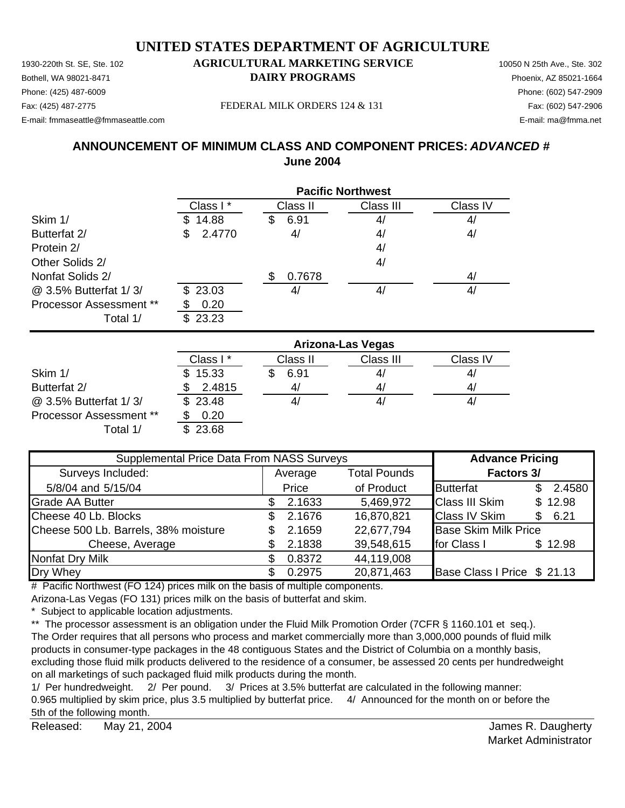1930-220th St. SE, Ste. 102 **AGRICULTURAL MARKETING SERVICE** 10050 N 25th Ave., Ste. 302 Bothell, WA 98021-8471 **DAIRY PROGRAMS** Phoenix, AZ 85021-1664 E-mail: fmmaseattle@fmmaseattle.com E-mail: ma@fmma.net

# Phone: (425) 487-6009 Phone: (602) 547-2909

Fax: (425) 487-2775 Fax: (602) 547-2906 FEDERAL MILK ORDERS 124 & 131

# **ANNOUNCEMENT OF MINIMUM CLASS AND COMPONENT PRICES:** *ADVANCED #* **June 2004**

|                                | <b>Pacific Northwest</b> |              |           |          |  |  |  |
|--------------------------------|--------------------------|--------------|-----------|----------|--|--|--|
|                                | Class I*                 | Class II     | Class III | Class IV |  |  |  |
| Skim 1/                        | 14.88                    | 6.91<br>S    | 4/        | 4/       |  |  |  |
| Butterfat 2/                   | 2.4770<br>S              | 4/           | 4/        | 4/       |  |  |  |
| Protein 2/                     |                          |              | 4/        |          |  |  |  |
| Other Solids 2/                |                          |              | 4/        |          |  |  |  |
| Nonfat Solids 2/               |                          | 0.7678<br>\$ |           | 4/       |  |  |  |
| @ 3.5% Butterfat 1/3/          | \$23.03                  | 41           | 4/        | 4/       |  |  |  |
| <b>Processor Assessment **</b> | 0.20                     |              |           |          |  |  |  |
| Total 1/                       | 23.23                    |              |           |          |  |  |  |

|                                | <b>Arizona-Las Vegas</b> |          |           |          |  |
|--------------------------------|--------------------------|----------|-----------|----------|--|
|                                | Class I*                 | Class II | Class III | Class IV |  |
| Skim 1/                        | \$15.33                  | 6.91     | 41        | 4/       |  |
| Butterfat 2/                   | 2.4815                   | 41       | 4/        | 4,       |  |
| @ 3.5% Butterfat 1/3/          | \$23.48                  | 41       | 4/        | 41       |  |
| <b>Processor Assessment **</b> | 0.20                     |          |           |          |  |
| Total 1/                       | \$23.68                  |          |           |          |  |

| Supplemental Price Data From NASS Surveys | <b>Advance Pricing</b> |                     |                             |     |         |
|-------------------------------------------|------------------------|---------------------|-----------------------------|-----|---------|
| Surveys Included:                         | Average                | <b>Total Pounds</b> | Factors 3/                  |     |         |
| 5/8/04 and 5/15/04                        | Price                  | of Product          | <b>Butterfat</b>            | \$. | 2.4580  |
| <b>Grade AA Butter</b>                    | 2.1633                 | 5,469,972           | <b>Class III Skim</b>       |     | \$12.98 |
| Cheese 40 Lb. Blocks                      | 2.1676                 | 16,870,821          | <b>Class IV Skim</b>        | \$. | 6.21    |
| Cheese 500 Lb. Barrels, 38% moisture      | 2.1659                 | 22,677,794          | <b>Base Skim Milk Price</b> |     |         |
| Cheese, Average                           | 2.1838                 | 39,548,615          | for Class I                 |     | \$12.98 |
| <b>Nonfat Dry Milk</b>                    | 0.8372                 | 44,119,008          |                             |     |         |
| Dry Whey                                  | 0.2975                 | 20,871,463          | Base Class I Price \$ 21.13 |     |         |

# Pacific Northwest (FO 124) prices milk on the basis of multiple components.

Arizona-Las Vegas (FO 131) prices milk on the basis of butterfat and skim.

\* Subject to applicable location adjustments.

\*\* The processor assessment is an obligation under the Fluid Milk Promotion Order (7CFR § 1160.101 et seq.). The Order requires that all persons who process and market commercially more than 3,000,000 pounds of fluid milk products in consumer-type packages in the 48 contiguous States and the District of Columbia on a monthly basis, excluding those fluid milk products delivered to the residence of a consumer, be assessed 20 cents per hundredweight on all marketings of such packaged fluid milk products during the month.

1/ Per hundredweight. 2/ Per pound. 3/ Prices at 3.5% butterfat are calculated in the following manner: 0.965 multiplied by skim price, plus 3.5 multiplied by butterfat price. 4/ Announced for the month on or before the 5th of the following month.

Released: May 21, 2004 **Released:** May 21, 2004 May 21, 2004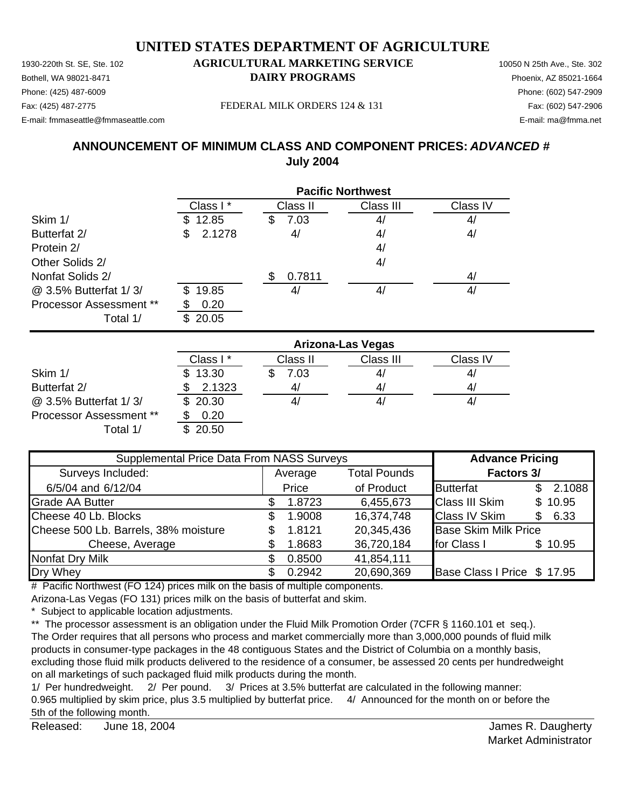1930-220th St. SE, Ste. 102 **AGRICULTURAL MARKETING SERVICE** 10050 N 25th Ave., Ste. 302 Bothell, WA 98021-8471 **DAIRY PROGRAMS** Phoenix, AZ 85021-1664 Fax: (425) 487-2775 Fax: (602) 547-2906 FEDERAL MILK ORDERS 124 & 131 E-mail: fmmaseattle@fmmaseattle.com E-mail: ma@fmma.net

# Phone: (425) 487-6009 Phone: (602) 547-2909

## **ANNOUNCEMENT OF MINIMUM CLASS AND COMPONENT PRICES:** *ADVANCED #* **July 2004**

|                                | <b>Pacific Northwest</b> |              |           |          |  |  |
|--------------------------------|--------------------------|--------------|-----------|----------|--|--|
|                                | Class I*                 | Class II     | Class III | Class IV |  |  |
| Skim 1/                        | 12.85                    | 7.03<br>S    | 4/        | 4/       |  |  |
| Butterfat 2/                   | 2.1278<br>S              | 4/           | 4/        | 4/       |  |  |
| Protein 2/                     |                          |              | 4/        |          |  |  |
| Other Solids 2/                |                          |              | 4/        |          |  |  |
| Nonfat Solids 2/               |                          | 0.7811<br>S. |           | 4/       |  |  |
| @ 3.5% Butterfat 1/3/          | 19.85<br>\$.             | 41           | 4/        | 4/       |  |  |
| <b>Processor Assessment **</b> | 0.20                     |              |           |          |  |  |
| Total 1/                       | 20.05                    |              |           |          |  |  |

|                                | <b>Arizona-Las Vegas</b> |          |           |          |  |
|--------------------------------|--------------------------|----------|-----------|----------|--|
|                                | Class I*                 | Class II | Class III | Class IV |  |
| Skim 1/                        | \$13.30                  | 7.03     | 4/        | 4/       |  |
| Butterfat 2/                   | 2.1323                   | 4/       | 4/        | 4/       |  |
| @ 3.5% Butterfat 1/3/          | \$20.30                  |          | 41        | 41       |  |
| <b>Processor Assessment **</b> | 0.20                     |          |           |          |  |
| Total 1/                       | 20.50                    |          |           |          |  |

| Supplemental Price Data From NASS Surveys | <b>Advance Pricing</b> |         |                     |                             |     |         |
|-------------------------------------------|------------------------|---------|---------------------|-----------------------------|-----|---------|
| Surveys Included:                         |                        | Average | <b>Total Pounds</b> | Factors 3/                  |     |         |
| 6/5/04 and 6/12/04                        |                        | Price   | of Product          | <b>Butterfat</b>            | \$. | 2.1088  |
| <b>Grade AA Butter</b>                    |                        | 1.8723  | 6,455,673           | <b>Class III Skim</b>       |     | \$10.95 |
| Cheese 40 Lb. Blocks                      | S                      | 1.9008  | 16,374,748          | <b>Class IV Skim</b>        | \$. | 6.33    |
| Cheese 500 Lb. Barrels, 38% moisture      |                        | 1.8121  | 20,345,436          | <b>Base Skim Milk Price</b> |     |         |
| Cheese, Average                           |                        | 1.8683  | 36,720,184          | for Class I                 |     | \$10.95 |
| <b>Nonfat Dry Milk</b>                    |                        | 0.8500  | 41,854,111          |                             |     |         |
| Dry Whey                                  |                        | 0.2942  | 20,690,369          | Base Class I Price \$17.95  |     |         |

# Pacific Northwest (FO 124) prices milk on the basis of multiple components.

Arizona-Las Vegas (FO 131) prices milk on the basis of butterfat and skim.

\* Subject to applicable location adjustments.

\*\* The processor assessment is an obligation under the Fluid Milk Promotion Order (7CFR § 1160.101 et seq.). The Order requires that all persons who process and market commercially more than 3,000,000 pounds of fluid milk products in consumer-type packages in the 48 contiguous States and the District of Columbia on a monthly basis, excluding those fluid milk products delivered to the residence of a consumer, be assessed 20 cents per hundredweight on all marketings of such packaged fluid milk products during the month.

1/ Per hundredweight. 2/ Per pound. 3/ Prices at 3.5% butterfat are calculated in the following manner: 0.965 multiplied by skim price, plus 3.5 multiplied by butterfat price. 4/ Announced for the month on or before the 5th of the following month.

Released: James R. Daugherty June 18, 2004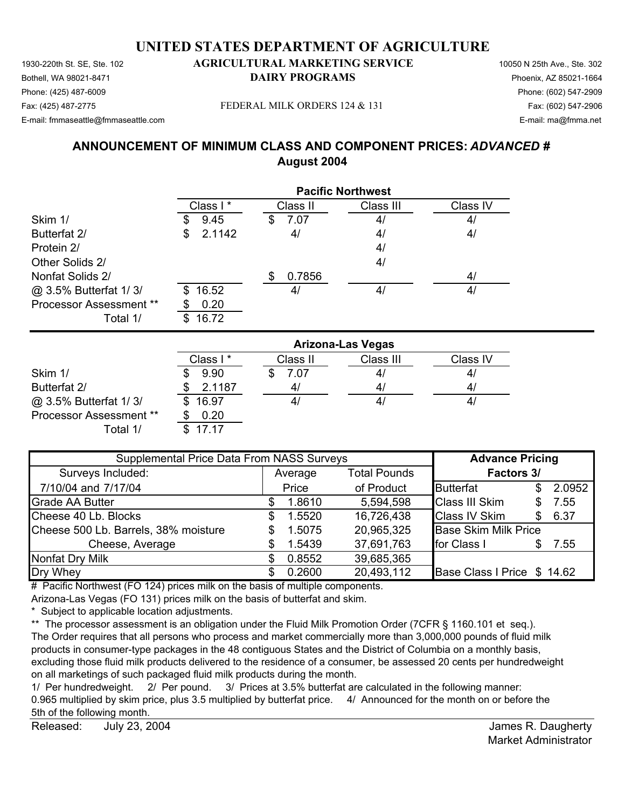Bothell, WA 98021-8471 **DAIRY PROGRAMS** Phoenix, AZ 85021-1664 Phone: (425) 487-6009 Phone: (602) 547-2909 Fax: (425) 487-2775 FEDERAL MILK ORDERS 124 & 131 Fax: (602) 547-2906

E-mail: fmmaseattle@fmmaseattle.com E-mail: ma@fmma.net

# **ANNOUNCEMENT OF MINIMUM CLASS AND COMPONENT PRICES:** *ADVANCED #* **August 2004**

|                                | <b>Pacific Northwest</b> |            |           |          |  |
|--------------------------------|--------------------------|------------|-----------|----------|--|
|                                | Class I*                 | Class II   | Class III | Class IV |  |
| Skim 1/                        | 9.45<br>S                | 7.07<br>\$ | 4/        | 4/       |  |
| Butterfat 2/                   | 2.1142<br>\$             | 4/         | 4/        | 4/       |  |
| Protein 2/                     |                          |            | 4/        |          |  |
| Other Solids 2/                |                          |            | 4/        |          |  |
| Nonfat Solids 2/               |                          | 0.7856     |           | 4/       |  |
| @ 3.5% Butterfat 1/3/          | 16.52<br>\$.             | 4/         | 4/        | 4/       |  |
| <b>Processor Assessment **</b> | 0.20<br>S                |            |           |          |  |
| Total 1/                       | 16.72<br>S               |            |           |          |  |

|                                | <b>Arizona-Las Vegas</b> |          |           |          |  |
|--------------------------------|--------------------------|----------|-----------|----------|--|
|                                | Class I*                 | Class II | Class III | Class IV |  |
| Skim 1/                        | 9.90                     | 7.07     | 4/        | 4/       |  |
| Butterfat 2/                   | 2.1187                   | 41       | 4/        | 4/       |  |
| @ 3.5% Butterfat 1/3/          | \$16.97                  | 41       | 41        | 41       |  |
| <b>Processor Assessment **</b> | 0.20                     |          |           |          |  |
| Total 1/                       | 17 17                    |          |           |          |  |

| Supplemental Price Data From NASS Surveys |         |        |                     | <b>Advance Pricing</b>      |    |        |
|-------------------------------------------|---------|--------|---------------------|-----------------------------|----|--------|
| Surveys Included:                         | Average |        | <b>Total Pounds</b> | Factors 3/                  |    |        |
| 7/10/04 and 7/17/04                       |         | Price  | of Product          | <b>Butterfat</b>            | S. | 2.0952 |
| <b>Grade AA Butter</b>                    |         | 1.8610 | 5,594,598           | <b>Class III Skim</b>       | S. | 7.55   |
| Cheese 40 Lb. Blocks                      | S       | 1.5520 | 16,726,438          | <b>Class IV Skim</b>        | S. | 6.37   |
| Cheese 500 Lb. Barrels, 38% moisture      | S       | 1.5075 | 20,965,325          | <b>Base Skim Milk Price</b> |    |        |
| Cheese, Average                           |         | 1.5439 | 37,691,763          | for Class I                 |    | 7.55   |
| <b>Nonfat Dry Milk</b>                    |         | 0.8552 | 39,685,365          |                             |    |        |
| Dry Whey                                  |         | 0.2600 | 20,493,112          | Base Class I Price \$ 14.62 |    |        |

# Pacific Northwest (FO 124) prices milk on the basis of multiple components.

Arizona-Las Vegas (FO 131) prices milk on the basis of butterfat and skim.

\* Subject to applicable location adjustments.

\*\* The processor assessment is an obligation under the Fluid Milk Promotion Order (7CFR § 1160.101 et seq.). The Order requires that all persons who process and market commercially more than 3,000,000 pounds of fluid milk products in consumer-type packages in the 48 contiguous States and the District of Columbia on a monthly basis, excluding those fluid milk products delivered to the residence of a consumer, be assessed 20 cents per hundredweight on all marketings of such packaged fluid milk products during the month.

1/ Per hundredweight. 2/ Per pound. 3/ Prices at 3.5% butterfat are calculated in the following manner: 0.965 multiplied by skim price, plus 3.5 multiplied by butterfat price. 4/ Announced for the month on or before the 5th of the following month.

Released: July 23, 2004 **Released:** July 23, 2004 July 23, 2004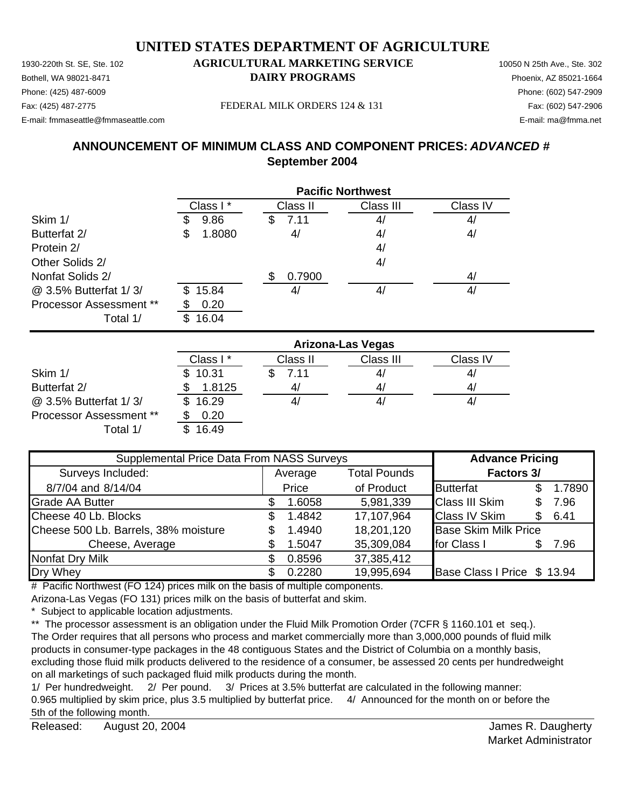Bothell, WA 98021-8471 **DAIRY PROGRAMS** Phoenix, AZ 85021-1664 Phone: (425) 487-6009 Phone: (602) 547-2909

#### Fax: (425) 487-2775 FEDERAL MILK ORDERS 124 & 131 Fax: (602) 547-2906

E-mail: fmmaseattle@fmmaseattle.com E-mail: ma@fmma.net

# **ANNOUNCEMENT OF MINIMUM CLASS AND COMPONENT PRICES:** *ADVANCED #* **September 2004**

|                                | <b>Pacific Northwest</b> |               |           |          |  |
|--------------------------------|--------------------------|---------------|-----------|----------|--|
|                                | Class I*                 | Class II      | Class III | Class IV |  |
| Skim 1/                        | 9.86                     | 7.11<br>\$    | 4/        | 4/       |  |
| Butterfat 2/                   | 1.8080<br>\$             | 4/            | 4/        | 4/       |  |
| Protein 2/                     |                          |               | 4/        |          |  |
| Other Solids 2/                |                          |               | 4/        |          |  |
| Nonfat Solids 2/               |                          | 0.7900<br>\$. |           | 4/       |  |
| @ 3.5% Butterfat 1/3/          | 15.84<br>\$.             | 4,            | 4/        | 4/       |  |
| <b>Processor Assessment **</b> | 0.20                     |               |           |          |  |
| Total 1/                       | 16.04                    |               |           |          |  |

|                                | <b>Arizona-Las Vegas</b> |          |           |          |  |
|--------------------------------|--------------------------|----------|-----------|----------|--|
|                                | Class I*                 | Class II | Class III | Class IV |  |
| Skim 1/                        | \$10.31                  | 7.11     | 41        | 4/       |  |
| Butterfat 2/                   | 1.8125                   | 41       | 4/        | 4        |  |
| @ 3.5% Butterfat 1/3/          | 16.29                    | 41       | 4,        | 41       |  |
| <b>Processor Assessment **</b> | 0.20                     |          |           |          |  |
| Total 1/                       | 16.49                    |          |           |          |  |

| Supplemental Price Data From NASS Surveys |                                |        |                   | <b>Advance Pricing</b>      |     |        |
|-------------------------------------------|--------------------------------|--------|-------------------|-----------------------------|-----|--------|
| Surveys Included:                         | <b>Total Pounds</b><br>Average |        | <b>Factors 3/</b> |                             |     |        |
| 8/7/04 and 8/14/04                        |                                | Price  | of Product        | <b>Butterfat</b>            |     | 1.7890 |
| <b>Grade AA Butter</b>                    |                                | 1.6058 | 5,981,339         | <b>Class III Skim</b>       | S.  | 7.96   |
| Cheese 40 Lb. Blocks                      | S                              | 1.4842 | 17,107,964        | <b>Class IV Skim</b>        | \$. | 6.41   |
| Cheese 500 Lb. Barrels, 38% moisture      | \$                             | 1.4940 | 18,201,120        | <b>Base Skim Milk Price</b> |     |        |
| Cheese, Average                           |                                | 1.5047 | 35,309,084        | for Class I                 |     | 7.96   |
| Nonfat Dry Milk                           |                                | 0.8596 | 37,385,412        |                             |     |        |
| Dry Whey                                  |                                | 0.2280 | 19,995,694        | Base Class I Price \$ 13.94 |     |        |

# Pacific Northwest (FO 124) prices milk on the basis of multiple components.

Arizona-Las Vegas (FO 131) prices milk on the basis of butterfat and skim.

\* Subject to applicable location adjustments.

\*\* The processor assessment is an obligation under the Fluid Milk Promotion Order (7CFR § 1160.101 et seq.). The Order requires that all persons who process and market commercially more than 3,000,000 pounds of fluid milk products in consumer-type packages in the 48 contiguous States and the District of Columbia on a monthly basis, excluding those fluid milk products delivered to the residence of a consumer, be assessed 20 cents per hundredweight on all marketings of such packaged fluid milk products during the month.

1/ Per hundredweight. 2/ Per pound. 3/ Prices at 3.5% butterfat are calculated in the following manner: 0.965 multiplied by skim price, plus 3.5 multiplied by butterfat price. 4/ Announced for the month on or before the 5th of the following month.

Released: August 20, 2004 **No. 2008 Released: August 20, 2004** August 20, 2004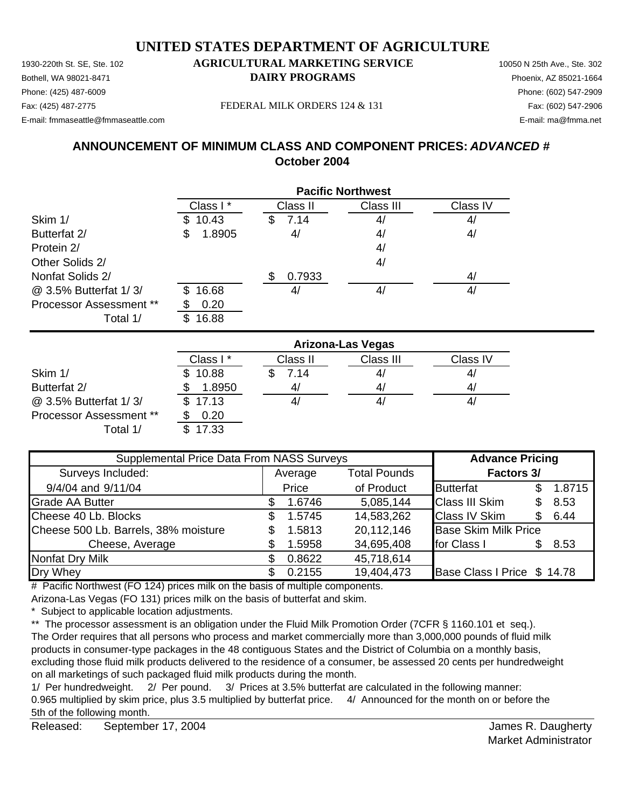1930-220th St. SE, Ste. 102 **AGRICULTURAL MARKETING SERVICE** 10050 N 25th Ave., Ste. 302 Bothell, WA 98021-8471 **DAIRY PROGRAMS** Phoenix, AZ 85021-1664 Phone: (425) 487-6009 Phone: (602) 547-2909 Fax: (425) 487-2775 Fax: (602) 547-2906 FEDERAL MILK ORDERS 124 & 131

E-mail: fmmaseattle@fmmaseattle.com E-mail: ma@fmma.net

# **ANNOUNCEMENT OF MINIMUM CLASS AND COMPONENT PRICES:** *ADVANCED #* **October 2004**

|                                | <b>Pacific Northwest</b> |              |           |          |  |
|--------------------------------|--------------------------|--------------|-----------|----------|--|
|                                | Class I*                 | Class II     | Class III | Class IV |  |
| Skim 1/                        | 10.43                    | 7.14<br>S    | 4/        | 4/       |  |
| Butterfat 2/                   | 1.8905<br>\$             | 4/           | 4/        | 4/       |  |
| Protein 2/                     |                          |              | 4/        |          |  |
| Other Solids 2/                |                          |              | 4/        |          |  |
| Nonfat Solids 2/               |                          | 0.7933<br>S. |           | 4/       |  |
| @ 3.5% Butterfat 1/3/          | 16.68<br>\$.             | 41           | 4/        | 4/       |  |
| <b>Processor Assessment **</b> | 0.20                     |              |           |          |  |
| Total 1/                       | 16.88                    |              |           |          |  |

|                                | <b>Arizona-Las Vegas</b> |          |           |          |  |
|--------------------------------|--------------------------|----------|-----------|----------|--|
|                                | Class I*                 | Class II | Class III | Class IV |  |
| Skim 1/                        | \$10.88                  | 7.14     | 41        | 4/       |  |
| Butterfat 2/                   | 1.8950                   | 4        | 4/        | 4/       |  |
| @ 3.5% Butterfat 1/3/          | \$17.13                  | 41       | 4,        | 41       |  |
| <b>Processor Assessment **</b> | 0.20                     |          |           |          |  |
| Total 1/                       | 17.33                    |          |           |          |  |

| Supplemental Price Data From NASS Surveys |                                |        |            | <b>Advance Pricing</b>      |     |        |
|-------------------------------------------|--------------------------------|--------|------------|-----------------------------|-----|--------|
| Surveys Included:                         | <b>Total Pounds</b><br>Average |        | Factors 3/ |                             |     |        |
| 9/4/04 and 9/11/04                        |                                | Price  | of Product | <b>Butterfat</b>            |     | 1.8715 |
| <b>Grade AA Butter</b>                    |                                | 1.6746 | 5,085,144  | <b>Class III Skim</b>       | S   | 8.53   |
| Cheese 40 Lb. Blocks                      | S.                             | 1.5745 | 14,583,262 | <b>Class IV Skim</b>        | \$. | 6.44   |
| Cheese 500 Lb. Barrels, 38% moisture      |                                | 1.5813 | 20,112,146 | <b>Base Skim Milk Price</b> |     |        |
| Cheese, Average                           |                                | 1.5958 | 34,695,408 | for Class I                 |     | 8.53   |
| <b>Nonfat Dry Milk</b>                    |                                | 0.8622 | 45,718,614 |                             |     |        |
| Dry Whey                                  |                                | 0.2155 | 19,404,473 | Base Class I Price \$ 14.78 |     |        |

# Pacific Northwest (FO 124) prices milk on the basis of multiple components.

Arizona-Las Vegas (FO 131) prices milk on the basis of butterfat and skim.

\* Subject to applicable location adjustments.

\*\* The processor assessment is an obligation under the Fluid Milk Promotion Order (7CFR § 1160.101 et seq.). The Order requires that all persons who process and market commercially more than 3,000,000 pounds of fluid milk products in consumer-type packages in the 48 contiguous States and the District of Columbia on a monthly basis, excluding those fluid milk products delivered to the residence of a consumer, be assessed 20 cents per hundredweight on all marketings of such packaged fluid milk products during the month.

1/ Per hundredweight. 2/ Per pound. 3/ Prices at 3.5% butterfat are calculated in the following manner: 0.965 multiplied by skim price, plus 3.5 multiplied by butterfat price. 4/ Announced for the month on or before the 5th of the following month.

Released: James R. Daugherty September 17, 2004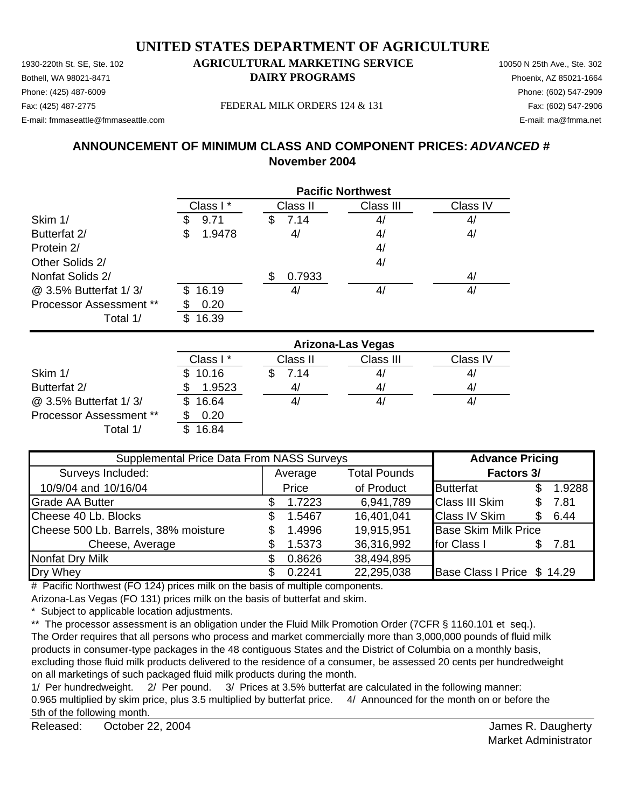Bothell, WA 98021-8471 **DAIRY PROGRAMS** Phoenix, AZ 85021-1664 Phone: (425) 487-6009 Phone: (602) 547-2909

#### Fax: (425) 487-2775 FEDERAL MILK ORDERS 124 & 131

E-mail: fmmaseattle@fmmaseattle.com E-mail: ma@fmma.net

## **ANNOUNCEMENT OF MINIMUM CLASS AND COMPONENT PRICES:** *ADVANCED #* **November 2004**

|                                | <b>Pacific Northwest</b> |            |           |          |  |
|--------------------------------|--------------------------|------------|-----------|----------|--|
|                                | Class I*                 | Class II   | Class III | Class IV |  |
| Skim 1/                        | 9.71                     | 7.14<br>\$ | 4/        | 4/       |  |
| Butterfat 2/                   | 1.9478<br>\$             | 4/         | 4/        | 4/       |  |
| Protein 2/                     |                          |            | 4/        |          |  |
| Other Solids 2/                |                          |            | 4/        |          |  |
| Nonfat Solids 2/               |                          | 0.7933     |           | 4/       |  |
| @ 3.5% Butterfat 1/3/          | 16.19<br>\$.             | 4,         | 4/        | 4/       |  |
| <b>Processor Assessment **</b> | 0.20                     |            |           |          |  |
| Total 1/                       | 16.39                    |            |           |          |  |

|                                | <b>Arizona-Las Vegas</b> |          |           |          |  |
|--------------------------------|--------------------------|----------|-----------|----------|--|
|                                | Class I*                 | Class II | Class III | Class IV |  |
| Skim 1/                        | \$10.16                  | 7.14     | 41        | 4/       |  |
| Butterfat 2/                   | 1.9523                   | 4/       | 41        | 4/       |  |
| @ 3.5% Butterfat 1/3/          | 16.64                    |          | 41        | 41       |  |
| <b>Processor Assessment **</b> | 0.20                     |          |           |          |  |
| Total 1/                       | 16.84                    |          |           |          |  |

| Supplemental Price Data From NASS Surveys |                                |        |            | <b>Advance Pricing</b>      |     |        |
|-------------------------------------------|--------------------------------|--------|------------|-----------------------------|-----|--------|
| Surveys Included:                         | <b>Total Pounds</b><br>Average |        | Factors 3/ |                             |     |        |
| 10/9/04 and 10/16/04                      |                                | Price  | of Product | <b>Butterfat</b>            | \$. | 1.9288 |
| <b>Grade AA Butter</b>                    |                                | 1.7223 | 6,941,789  | <b>Class III Skim</b>       | \$. | 7.81   |
| Cheese 40 Lb. Blocks                      | S                              | 1.5467 | 16,401,041 | <b>Class IV Skim</b>        | \$. | 6.44   |
| Cheese 500 Lb. Barrels, 38% moisture      |                                | 1.4996 | 19,915,951 | <b>Base Skim Milk Price</b> |     |        |
| Cheese, Average                           |                                | 1.5373 | 36,316,992 | for Class I                 |     | 7.81   |
| <b>Nonfat Dry Milk</b>                    |                                | 0.8626 | 38,494,895 |                             |     |        |
| Dry Whey                                  |                                | 0.2241 | 22,295,038 | Base Class I Price \$ 14.29 |     |        |

# Pacific Northwest (FO 124) prices milk on the basis of multiple components.

Arizona-Las Vegas (FO 131) prices milk on the basis of butterfat and skim.

\* Subject to applicable location adjustments.

\*\* The processor assessment is an obligation under the Fluid Milk Promotion Order (7CFR § 1160.101 et seq.). The Order requires that all persons who process and market commercially more than 3,000,000 pounds of fluid milk products in consumer-type packages in the 48 contiguous States and the District of Columbia on a monthly basis, excluding those fluid milk products delivered to the residence of a consumer, be assessed 20 cents per hundredweight on all marketings of such packaged fluid milk products during the month.

1/ Per hundredweight. 2/ Per pound. 3/ Prices at 3.5% butterfat are calculated in the following manner: 0.965 multiplied by skim price, plus 3.5 multiplied by butterfat price. 4/ Announced for the month on or before the 5th of the following month.

Released: October 22, 2004 **Contact Contact Serverse Contact Contact Contact Contact Contact Contact Contact Contact Contact Contact Contact Contact Contact Contact Contact Contact Contact Contact Contact Contact Contact C** October 22, 2004